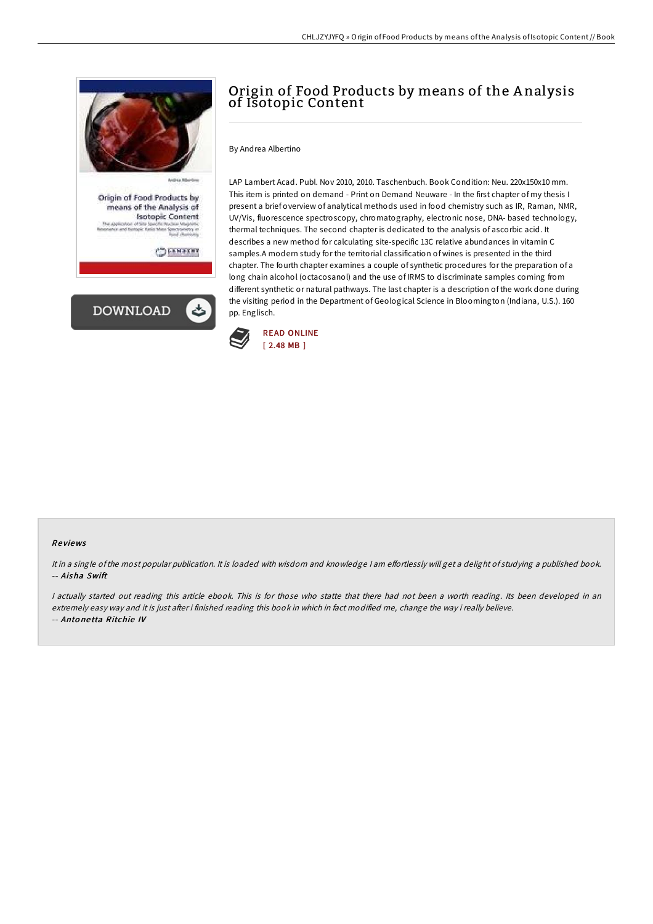

## Origin of Food Products by means of the A nalysis of Isotopic Content

By Andrea Albertino

LAP Lambert Acad. Publ. Nov 2010, 2010. Taschenbuch. Book Condition: Neu. 220x150x10 mm. This item is printed on demand - Print on Demand Neuware - In the first chapter of my thesis I present a brief overview of analytical methods used in food chemistry such as IR, Raman, NMR, UV/Vis, fluorescence spectroscopy, chromatography, electronic nose, DNA- based technology, thermal techniques. The second chapter is dedicated to the analysis of ascorbic acid. It describes a new method for calculating site-specific 13C relative abundances in vitamin C samples.A modern study for the territorial classification of wines is presented in the third chapter. The fourth chapter examines a couple of synthetic procedures for the preparation of a long chain alcohol (octacosanol) and the use of IRMS to discriminate samples coming from different synthetic or natural pathways. The last chapter is a description of the work done during the visiting period in the Department of Geological Science in Bloomington (Indiana, U.S.). 160 pp. Englisch.



## Re views

It in a single of the most popular publication. It is loaded with wisdom and knowledge I am effortlessly will get a delight of studying a published book. -- Aisha Swift

I actually started out reading this article ebook. This is for those who statte that there had not been a worth reading. Its been developed in an extremely easy way and it is just after i finished reading this book in which in fact modified me, change the way i really believe. -- Anto ne tta Ritchie IV